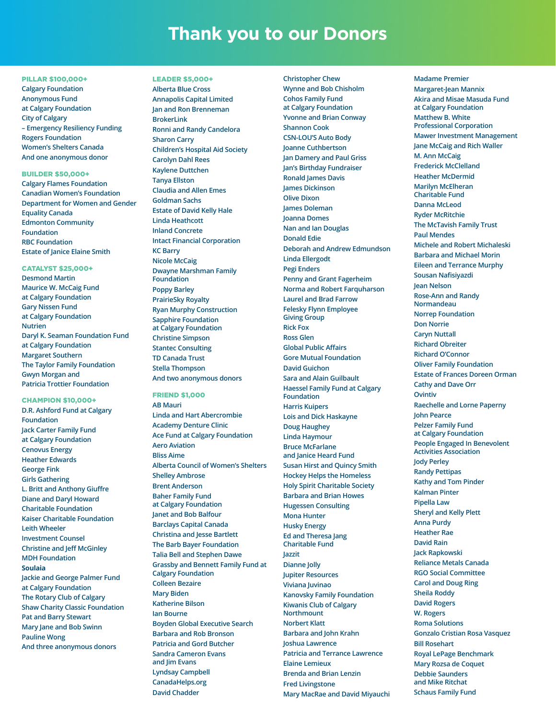# **Thank you to our Donors**

### PILLAR \$100,000+

**Calgary Foundation Anonymous Fund at Calgary Foundation City of Calgary – Emergency Resiliency Funding Rogers Foundation Women's Shelters Canada And one anonymous donor**

## BUILDER \$50,000+

**Calgary Flames Foundation Canadian Women's Foundation Department for Women and Gender Equality Canada Edmonton Community Foundation RBC Foundation Estate of Janice Elaine Smith**

#### CATALYST \$25,000+

**Desmond Martin Maurice W. McCaig Fund at Calgary Foundation Gary Nissen Fund at Calgary Foundation Nutrien Daryl K. Seaman Foundation Fund at Calgary Foundation Margaret Southern The Taylor Family Foundation Gwyn Morgan and Patricia Trottier Foundation**

## CHAMPION \$10,000+

**D.R. Ashford Fund at Calgary Foundation Jack Carter Family Fund at Calgary Foundation Cenovus Energy Heather Edwards George Fink Girls Gathering L. Britt and Anthony Giuffre Diane and Daryl Howard Charitable Foundation Kaiser Charitable Foundation Leith Wheeler Investment Counsel Christine and Jeff McGinley MDH Foundation Soulaia Jackie and George Palmer Fund at Calgary Foundation The Rotary Club of Calgary Shaw Charity Classic Foundation Pat and Barry Stewart Mary Jane and Bob Swinn Pauline Wong And three anonymous donors**

LEADER \$5,000+ **Alberta Blue Cross Annapolis Capital Limited Jan and Ron Brenneman BrokerLink Ronni and Randy Candelora Sharon Carry Children's Hospital Aid Society Carolyn Dahl Rees Kaylene Duttchen Tanya Ellston Claudia and Allen Emes Goldman Sachs Estate of David Kelly Hale Linda Heathcott Inland Concrete Intact Financial Corporation KC Barry Nicole McCaig Dwayne Marshman Family Foundation Poppy Barley PrairieSky Royalty Ryan Murphy Construction Sapphire Foundation at Calgary Foundation Christine Simpson Stantec Consulting TD Canada Trust Stella Thompson And two anonymous donors**

# FRIEND \$1,000

**AB Mauri Linda and Hart Abercrombie Academy Denture Clinic Ace Fund at Calgary Foundation Aero Aviation Bliss Aime Alberta Council of Women's Shelters Shelley Ambrose Brent Anderson Baher Family Fund at Calgary Foundation Janet and Bob Balfour Barclays Capital Canada Christina and Jesse Bartlett The Barb Bayer Foundation Talia Bell and Stephen Dawe Grassby and Bennett Family Fund at Calgary Foundation Colleen Bezaire Mary Biden Katherine Bilson Ian Bourne Boyden Global Executive Search Barbara and Rob Bronson Patricia and Gord Butcher Sandra Cameron Evans and Jim Evans Lyndsay Campbell CanadaHelps.org David Chadder**

**Christopher Chew Wynne and Bob Chisholm Cohos Family Fund at Calgary Foundation Yvonne and Brian Conway Shannon Cook CSN-LOU'S Auto Body Joanne Cuthbertson Jan Damery and Paul Griss Jan's Birthday Fundraiser Ronald James Davis James Dickinson Olive Dixon James Doleman Joanna Domes Nan and Ian Douglas Donald Edie Deborah and Andrew Edmundson Linda Ellergodt Pegi Enders Penny and Grant Fagerheim Norma and Robert Farquharson Laurel and Brad Farrow Felesky Flynn Employee Giving Group Rick Fox Ross Glen Global Public Affairs Gore Mutual Foundation David Guichon Sara and Alain Guilbault Haessel Family Fund at Calgary Foundation Harris Kuipers Lois and Dick Haskayne Doug Haughey Linda Haymour Bruce McFarlane and Janice Heard Fund Susan Hirst and Quincy Smith Hockey Helps the Homeless Holy Spirit Charitable Society Barbara and Brian Howes Hugessen Consulting Mona Hunter Husky Energy Ed and Theresa Jang Charitable Fund Jazzit Dianne Jolly Jupiter Resources Viviana Juvinao Kanovsky Family Foundation Kiwanis Club of Calgary Northmount Norbert Klatt Barbara and John Krahn Joshua Lawrence Patricia and Terrance Lawrence Elaine Lemieux Brenda and Brian Lenzin Fred Livingstone Mary MacRae and David Miyauchi**

**Madame Premier Margaret-Jean Mannix Akira and Misae Masuda Fund at Calgary Foundation Matthew B. White Professional Corporation Mawer Investment Management Jane McCaig and Rich Waller M. Ann McCaig Frederick McClelland Heather McDermid Marilyn McElheran Charitable Fund Danna McLeod Ryder McRitchie The McTavish Family Trust Paul Mendes Michele and Robert Michaleski Barbara and Michael Morin Eileen and Terrance Murphy Sousan Nafisiyazdi Jean Nelson Rose-Ann and Randy Normandeau Norrep Foundation Don Norrie Caryn Nuttall Richard Obreiter Richard O'Connor Oliver Family Foundation Estate of Frances Doreen Orman Cathy and Dave Orr Ovintiv Raechelle and Lorne Paperny John Pearce Pelzer Family Fund at Calgary Foundation People Engaged In Benevolent Activities Association Jody Perley Randy Pettipas Kathy and Tom Pinder Kalman Pinter Pipella Law Sheryl and Kelly Plett Anna Purdy Heather Rae David Rain Jack Rapkowski Reliance Metals Canada RGO Social Committee Carol and Doug Ring Sheila Roddy David Rogers W. Rogers Roma Solutions Gonzalo Cristian Rosa Vasquez Bill Rosehart Royal LePage Benchmark Mary Rozsa de Coquet Debbie Saunders and Mike Ritchat Schaus Family Fund**